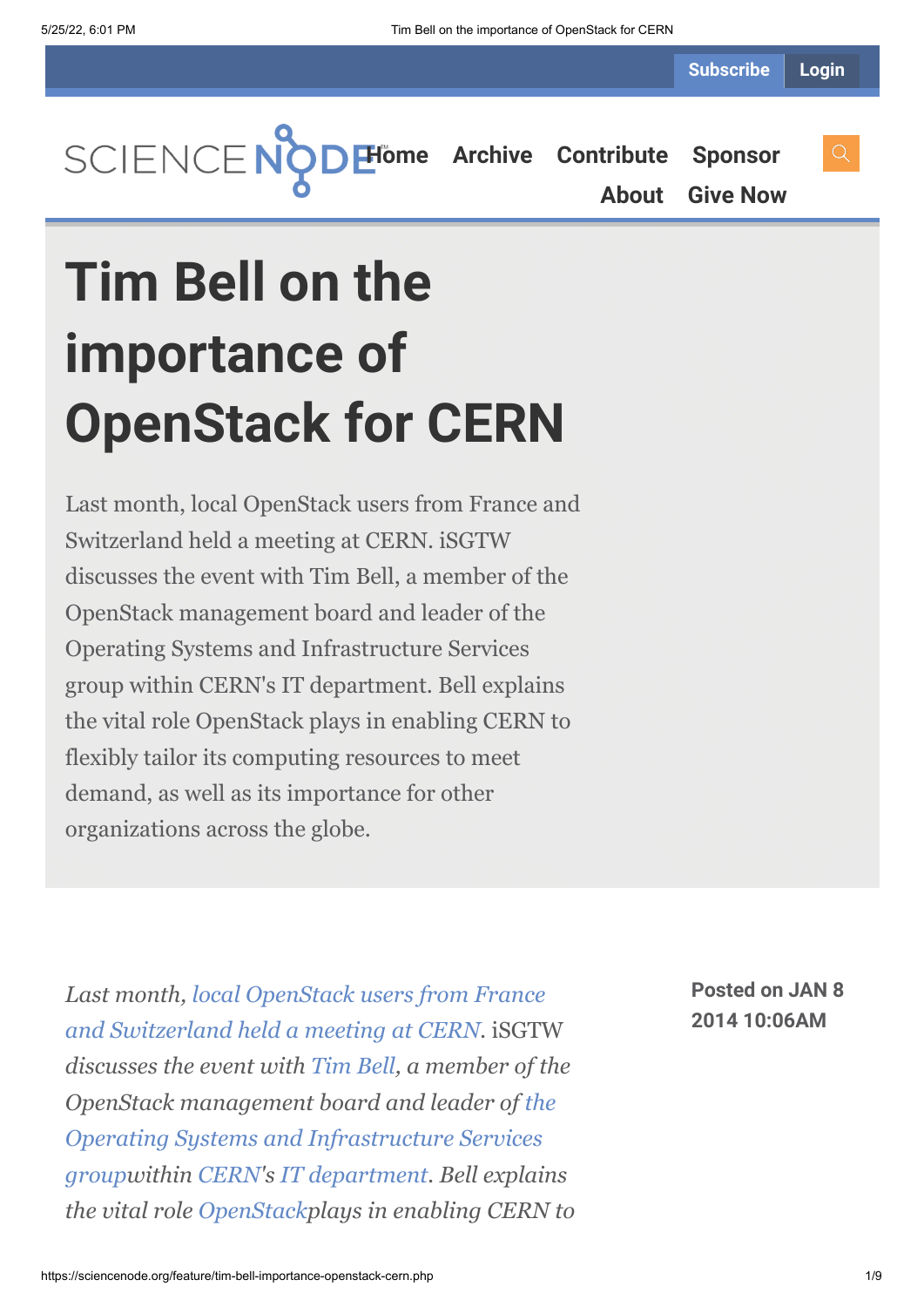**Subscribe Login**



**[About](https://sciencenode.org/about/index.php) [Give Now](https://sciencenode.org/donate/index.php)**

# **Tim Bell on the importance of OpenStack for CERN**

Last month, local OpenStack users from France and Switzerland held a meeting at CERN. iSGTW discusses the event with Tim Bell, a member of the OpenStack management board and leader of the Operating Systems and Infrastructure Services group within CERN's IT department. Bell explains the vital role OpenStack plays in enabling CERN to flexibly tailor its computing resources to meet demand, as well as its importance for other organizations across the globe.

*Last month, local OpenStack users from France [and Switzerland held a meeting at CERN.](http://openstack-in-production.blogspot.fr/)* iSGTW *discusses the event with [Tim Bell](http://profiles.web.cern.ch/373741), a member of the OpenStack management board and leader of the [Operating Systems and Infrastructure Services](https://espace.cern.ch/it-ois/default.aspx) groupwithin [CERN](http://home.web.cern.ch/)'s [IT department.](http://information-technology.web.cern.ch/) Bell explains the vital role [OpenStack](http://www.openstack.org/)plays in enabling CERN to* **Posted on JAN 8 2014 10:06AM**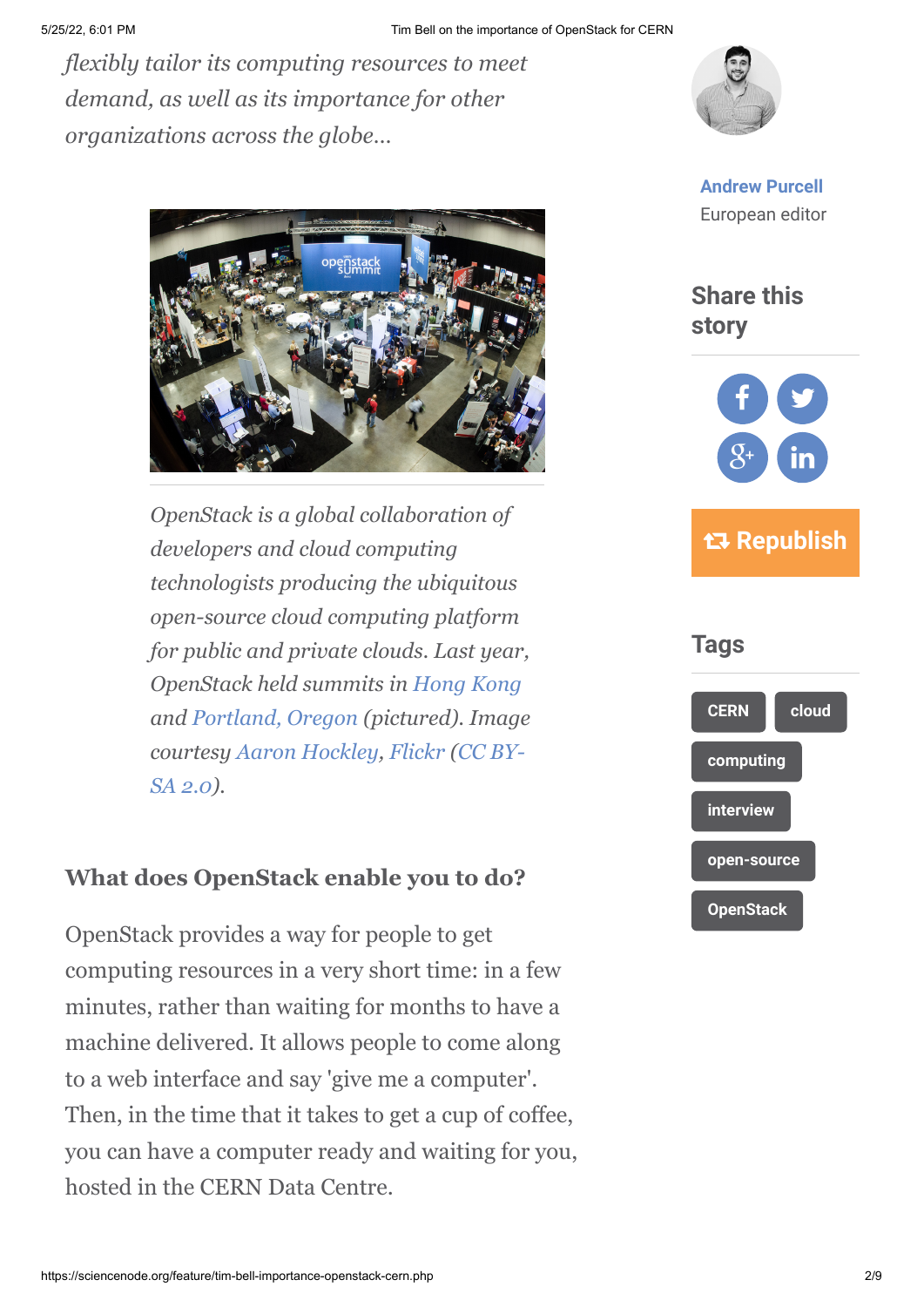*flexibly tailor its computing resources to meet demand, as well as its importance for other organizations across the globe…*



*OpenStack is a global collaboration of developers and cloud computing technologists producing the ubiquitous open-source cloud computing platform for public and private clouds. Last year, OpenStack held summits in [Hong Kong](http://www.openstack.org/summit/openstack-summit-hong-kong-2013/) and [Portland, Oregon](http://www.openstack.org/summit/portland-2013/) (pictured). Image [courtesy A](http://creativecommons.org/licenses/by-sa/2.0/deed.en)[aron Hockley](http://hockleyphoto.com/)[,](http://creativecommons.org/licenses/by-sa/2.0/deed.en) [Flickr](http://www.flickr.com/photos/70059755@N00/8662667020/in/photolist-ecur6W-ecoMov-ecoMwv-ecoMsx-ecur2y-ecoNyt-ecoMGD-ecoxNF-ecubmw-ecubrd-ecubxh-ecoyaH-ecug2W-ecug8h-ecugeq-ecoAPT-ecoAJF-ecue6j-ecoBZM-ecufEf-ecufN1-ecufRJ-ecoCvt-ecufeq-ecoC54-ecufHU-ecoBUH-ecoCap-ecoLcK-ecoDN2-ecoDG8-ecoEJF-ecupph-ecuinm-ecuhjm-ecuihq-ecoDmR-ecu9kW-ecup5w-ecoLz6-ecukZJ-ecukPS-ecukpC-ecuk6W-ecoHt6-ecukbC-ecoHi6-ecoHDR-ecoGNk-ecoH4x-ecoHen) [\(CC BY-](http://creativecommons.org/licenses/by-sa/2.0/deed.en)SA 2.0).*

### **What does OpenStack enable you to do?**

OpenStack provides a way for people to get computing resources in a very short time: in a few minutes, rather than waiting for months to have a machine delivered. It allows people to come along to a web interface and say 'give me a computer'. Then, in the time that it takes to get a cup of coffee, you can have a computer ready and waiting for you, hosted in the CERN Data Centre.



**[Andrew Purcell](https://sciencenode.org/author/andrew-purcell.php)** European editor



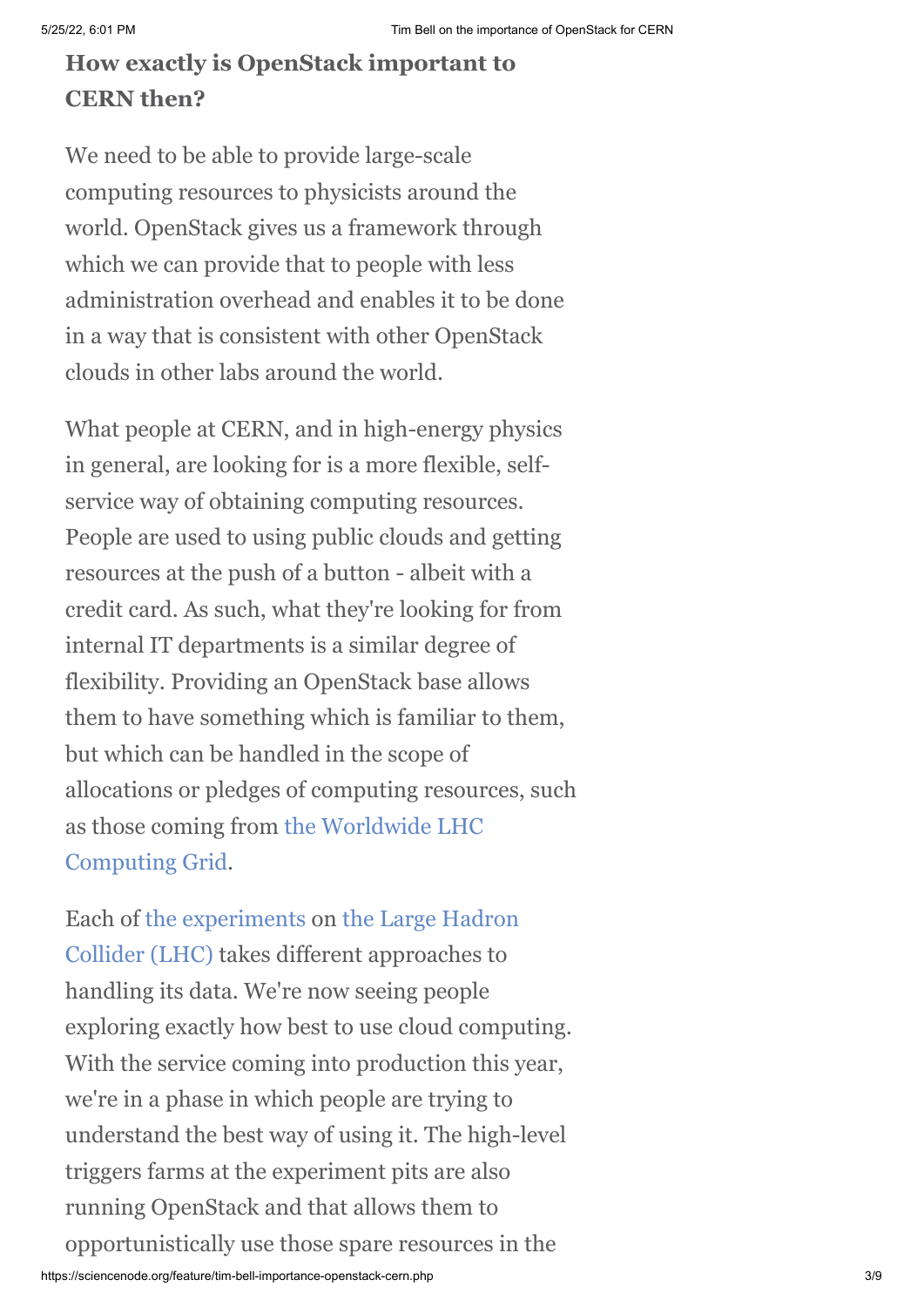## **How exactly is OpenStack important to CERN then?**

We need to be able to provide large-scale computing resources to physicists around the world. OpenStack gives us a framework through which we can provide that to people with less administration overhead and enables it to be done in a way that is consistent with other OpenStack clouds in other labs around the world.

What people at CERN, and in high-energy physics in general, are looking for is a more flexible, selfservice way of obtaining computing resources. People are used to using public clouds and getting resources at the push of a button - albeit with a credit card. As such, what they're looking for from internal IT departments is a similar degree of flexibility. Providing an OpenStack base allows them to have something which is familiar to them, but which can be handled in the scope of allocations or pledges of computing resources, such [as those coming from the Worldwide LHC](http://www.isgtw.org/feature/large-hadron-colliders-worldwide-computer) Computing Grid.

[Each of t](http://home.web.cern.ch/about/accelerators/large-hadron-collider)[he experiment](http://home.web.cern.ch/about/experiments)[s on the Large Hadron](http://home.web.cern.ch/about/accelerators/large-hadron-collider) Collider (LHC) takes different approaches to handling its data. We're now seeing people exploring exactly how best to use cloud computing. With the service coming into production this year, we're in a phase in which people are trying to understand the best way of using it. The high-level triggers farms at the experiment pits are also running OpenStack and that allows them to opportunistically use those spare resources in the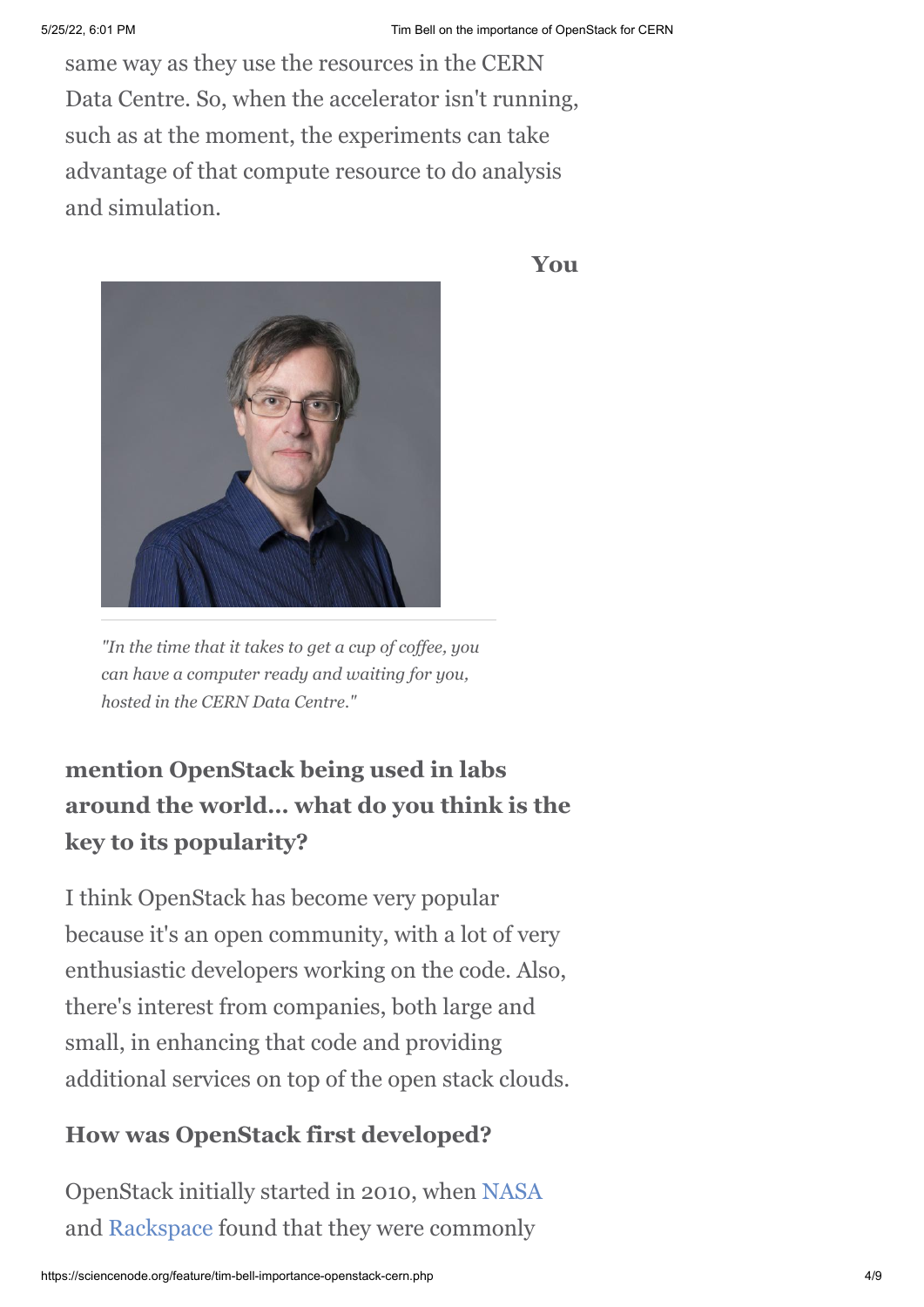same way as they use the resources in the CERN Data Centre. So, when the accelerator isn't running, such as at the moment, the experiments can take advantage of that compute resource to do analysis and simulation.



*"In the time that it takes to get a cup of coffee, you can have a computer ready and waiting for you, hosted in the CERN Data Centre."*

## **mention OpenStack being used in labs around the world… what do you think is the key to its popularity?**

I think OpenStack has become very popular because it's an open community, with a lot of very enthusiastic developers working on the code. Also, there's interest from companies, both large and small, in enhancing that code and providing additional services on top of the open stack clouds.

## **How was OpenStack first developed?**

OpenStack initially started in 2010, when [NASA](http://www.nasa.gov/) and [Rackspace](http://www.rackspace.com/) found that they were commonly

**You**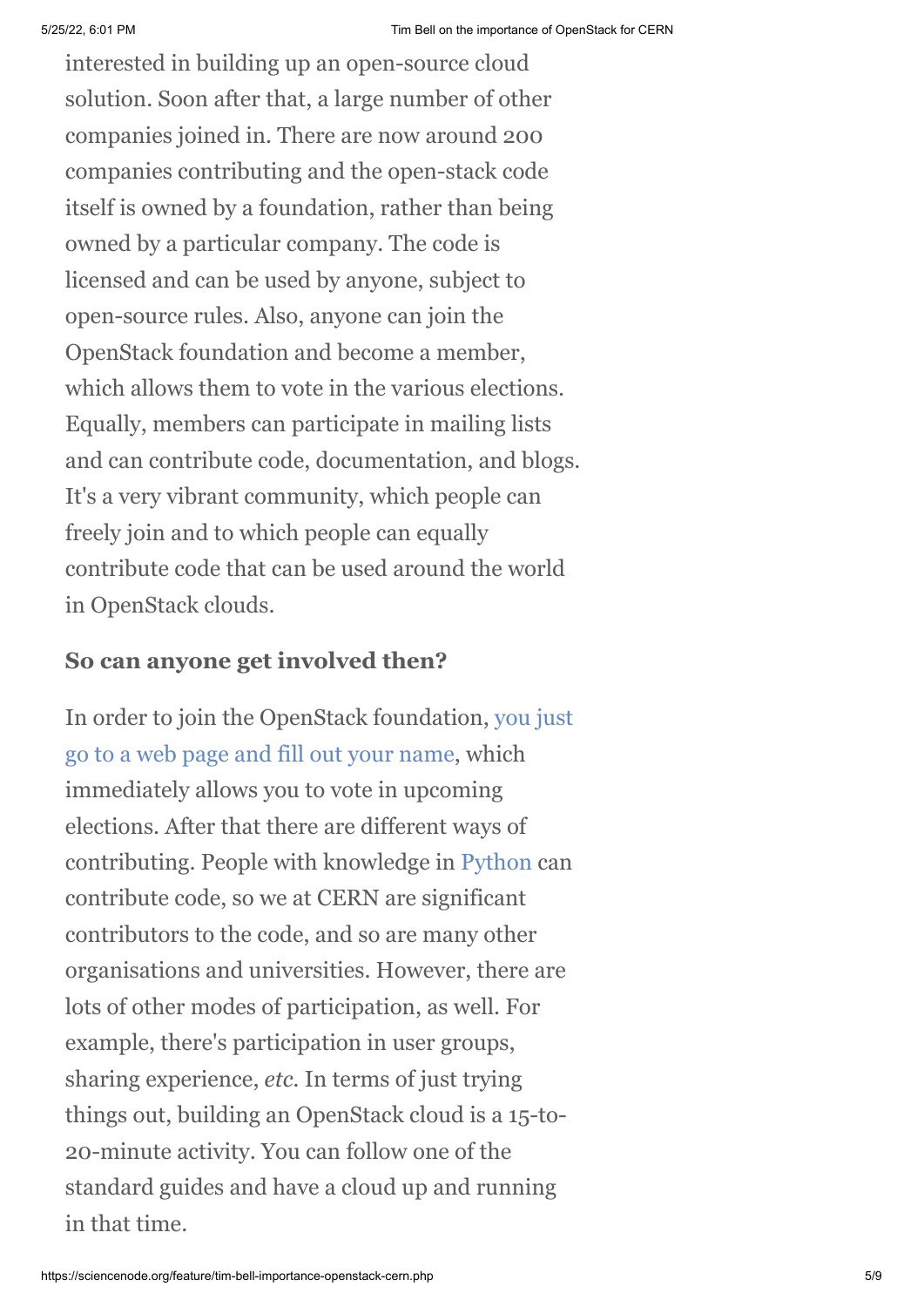interested in building up an open-source cloud solution. Soon after that, a large number of other companies joined in. There are now around 200 companies contributing and the open-stack code itself is owned by a foundation, rather than being owned by a particular company. The code is licensed and can be used by anyone, subject to open-source rules. Also, anyone can join the OpenStack foundation and become a member, which allows them to vote in the various elections. Equally, members can participate in mailing lists and can contribute code, documentation, and blogs. It's a very vibrant community, which people can freely join and to which people can equally contribute code that can be used around the world in OpenStack clouds.

#### **So can anyone get involved then?**

[In order to join the OpenStack foundation, you just](http://openstack.org/join) go to a web page and fill out your name, which immediately allows you to vote in upcoming elections. After that there are different ways of contributing. People with knowledge in [Python](http://www.python.org/) can contribute code, so we at CERN are significant contributors to the code, and so are many other organisations and universities. However, there are lots of other modes of participation, as well. For example, there's participation in user groups, sharing experience, *etc.* In terms of just trying things out, building an OpenStack cloud is a 15-to-20-minute activity. You can follow one of the standard guides and have a cloud up and running in that time.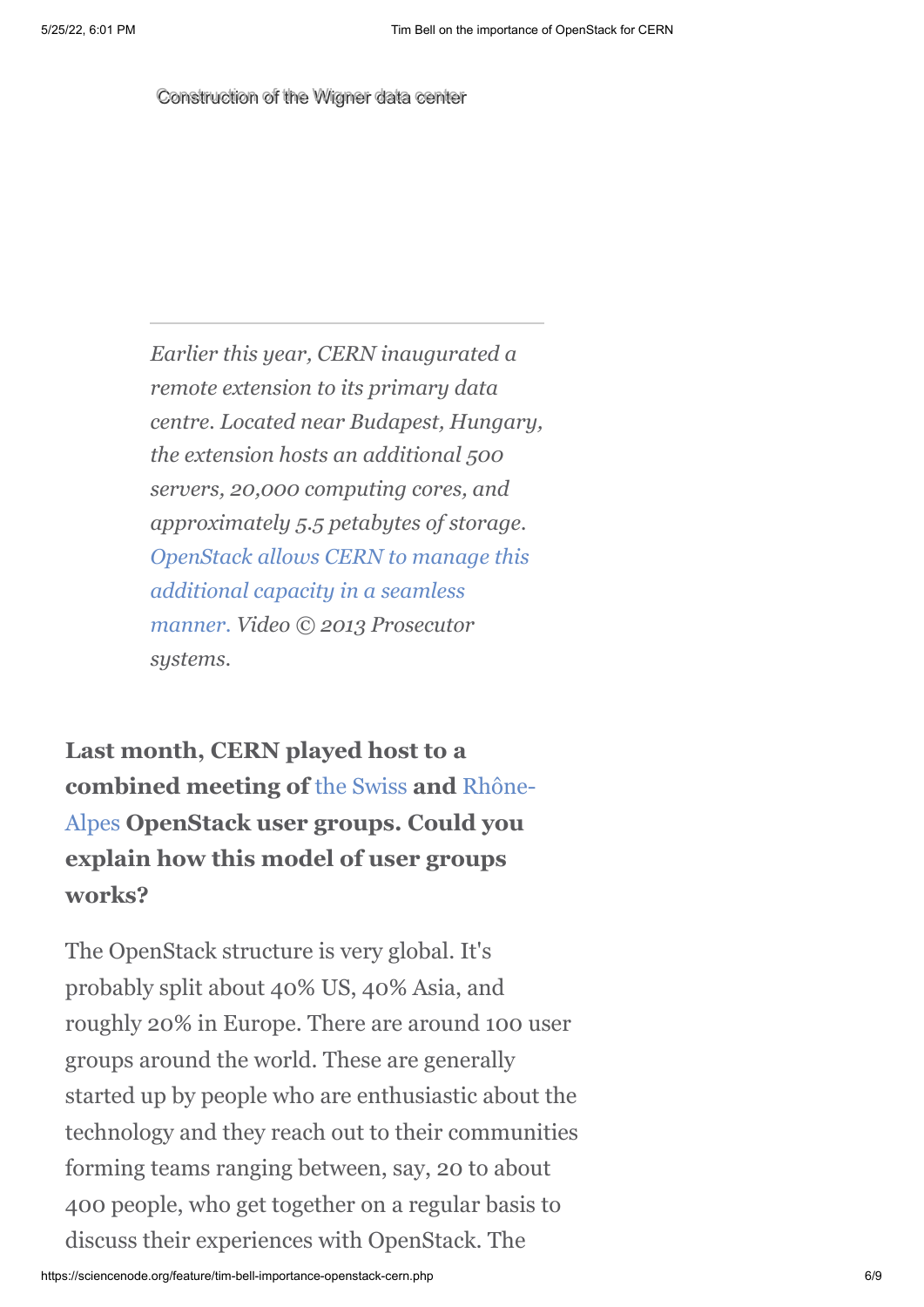Construction of the Wigner data center

*Earlier this year, CERN inaugurated a remote extension to its primary data centre. Located near Budapest, Hungary, the extension hosts an additional 500 servers, 20,000 computing cores, and approximately 5.5 petabytes of storage. [OpenStack allows CERN to manage this](http://cds.cern.ch/record/1457989/files/chep%202012%20CERN%20infrastructure%20final.pdf?version=1) additional capacity in a seamless manner. Video © 2013 Prosecutor systems.*

**Last month, CERN played host to a combined meeting of** [the Swiss](http://www.meetup.com/openstack-ch) **and** Rhône-Alpes **[OpenStack user groups. Could you](http://www.meetup.com/OpenStack-Rhone-Alpes/) explain how this model of user groups works?**

The OpenStack structure is very global. It's probably split about 40% US, 40% Asia, and roughly 20% in Europe. There are around 100 user groups around the world. These are generally started up by people who are enthusiastic about the technology and they reach out to their communities forming teams ranging between, say, 20 to about 400 people, who get together on a regular basis to discuss their experiences with OpenStack. The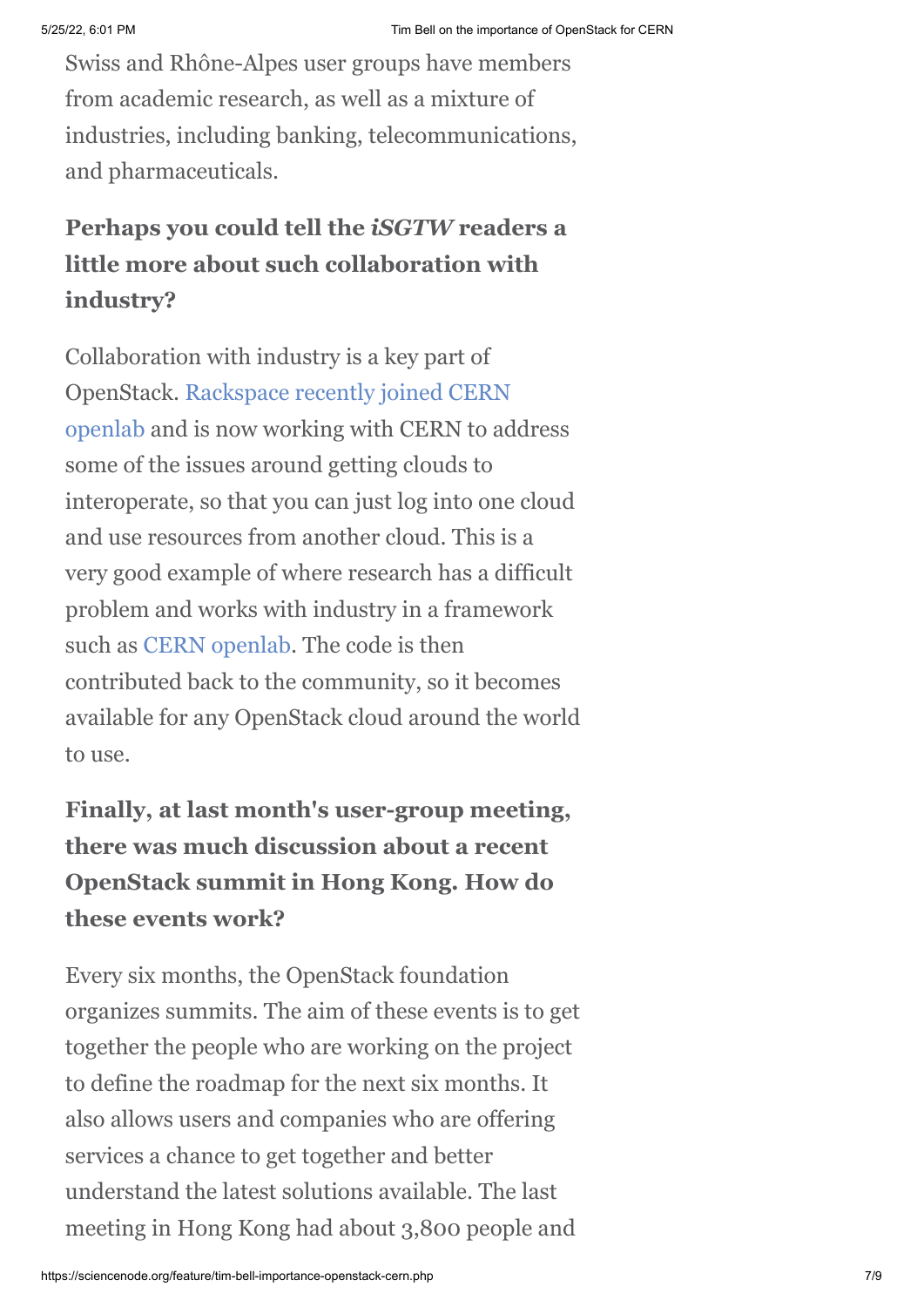Swiss and Rhône-Alpes user groups have members from academic research, as well as a mixture of industries, including banking, telecommunications, and pharmaceuticals.

## **Perhaps you could tell the** *iSGTW* **readers a little more about such collaboration with industry?**

Collaboration with industry is a key part of [OpenStack. Rackspace recently joined CERN](http://openlab.web.cern.ch/news/rackspace-joins-cern-openlab-contributor) openlab and is now working with CERN to address some of the issues around getting clouds to interoperate, so that you can just log into one cloud and use resources from another cloud. This is a very good example of where research has a difficult problem and works with industry in a framework such as [CERN openlab](http://openlab.web.cern.ch/). The code is then contributed back to the community, so it becomes available for any OpenStack cloud around the world to use.

# **Finally, at last month's user-group meeting, there was much discussion about a recent OpenStack summit in Hong Kong. How do these events work?**

Every six months, the OpenStack foundation organizes summits. The aim of these events is to get together the people who are working on the project to define the roadmap for the next six months. It also allows users and companies who are offering services a chance to get together and better understand the latest solutions available. The last meeting in Hong Kong had about 3,800 people and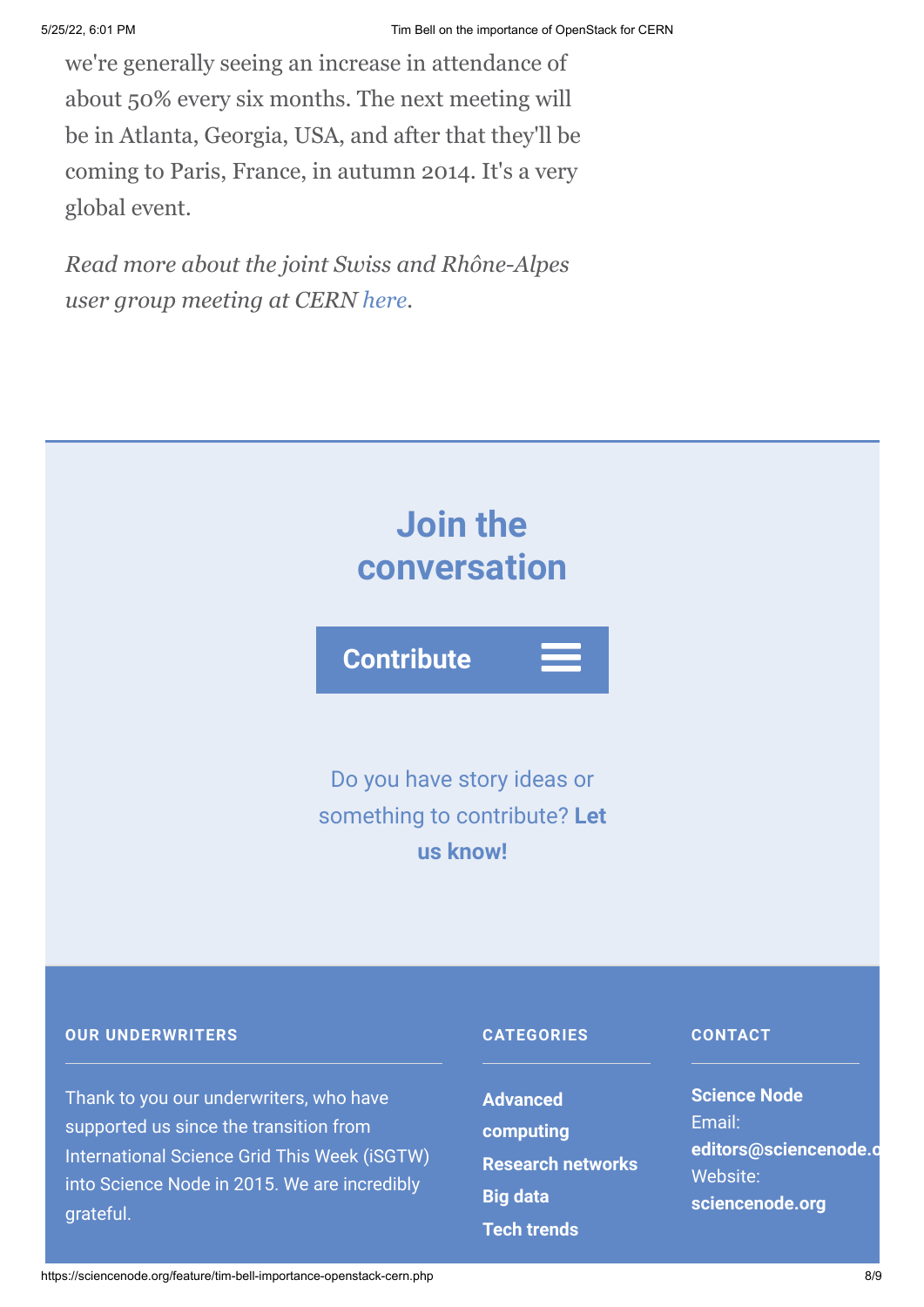we're generally seeing an increase in attendance of about 50% every six months. The next meeting will be in Atlanta, Georgia, USA, and after that they'll be coming to Paris, France, in autumn 2014. It's a very global event.

*Read more about the joint Swiss and Rhône-Alpes user group meeting at CERN [here](http://openstack-in-production.blogspot.fr/).*



**[computing](https://sciencenode.org/archive/?year=2016&category=Advanced%20computing)**

**[Big data](https://sciencenode.org/archive/?year=2016&category=Advanced%20computing&category=Research%20networks&category=Big%20data)**

**[Tech trends](https://sciencenode.org/archive/?year=2016&category=Advanced%20computing&category=Research%20networks&category=Big%20data&category=Tech%20trends)**

**[Research networks](https://sciencenode.org/archive/?year=2016&category=Advanced%20computing&category=Research%20networks)**

Email:

Website:

**[editors@sciencenode.o](mailto:edit%6F%72s@s%63%69encenode.%6F%72%67)**

**[sciencenode.org](https://sciencenode.org/)**

Thank to you our underwriters, who have supported us since the transition from International Science Grid This Week (iSGTW) into Science Node in 2015. We are incredibly grateful.